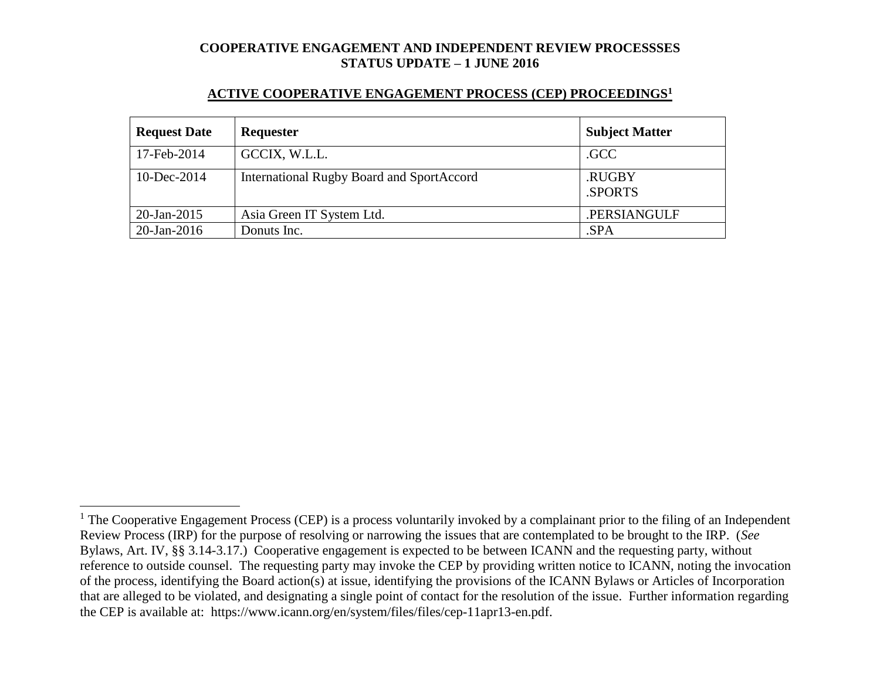#### **ACTIVE COOPERATIVE ENGAGEMENT PROCESS (CEP) PROCEEDINGS<sup>1</sup>**

| <b>Request Date</b> | <b>Requester</b>                          | <b>Subject Matter</b> |
|---------------------|-------------------------------------------|-----------------------|
| 17-Feb-2014         | GCCIX, W.L.L.                             | .GCC                  |
| $10$ -Dec-2014      | International Rugby Board and SportAccord | .RUGBY<br>.SPORTS     |
| $20$ -Jan-2015      | Asia Green IT System Ltd.                 | .PERSIANGULF          |
| $20$ -Jan-2016      | Donuts Inc.                               | .SPA                  |

 $\overline{a}$ 

 $1$  The Cooperative Engagement Process (CEP) is a process voluntarily invoked by a complainant prior to the filing of an Independent Review Process (IRP) for the purpose of resolving or narrowing the issues that are contemplated to be brought to the IRP. (*See* Bylaws, Art. IV, §§ 3.14-3.17.) Cooperative engagement is expected to be between ICANN and the requesting party, without reference to outside counsel. The requesting party may invoke the CEP by providing written notice to ICANN, noting the invocation of the process, identifying the Board action(s) at issue, identifying the provisions of the ICANN Bylaws or Articles of Incorporation that are alleged to be violated, and designating a single point of contact for the resolution of the issue. Further information regarding the CEP is available at: https://www.icann.org/en/system/files/files/cep-11apr13-en.pdf.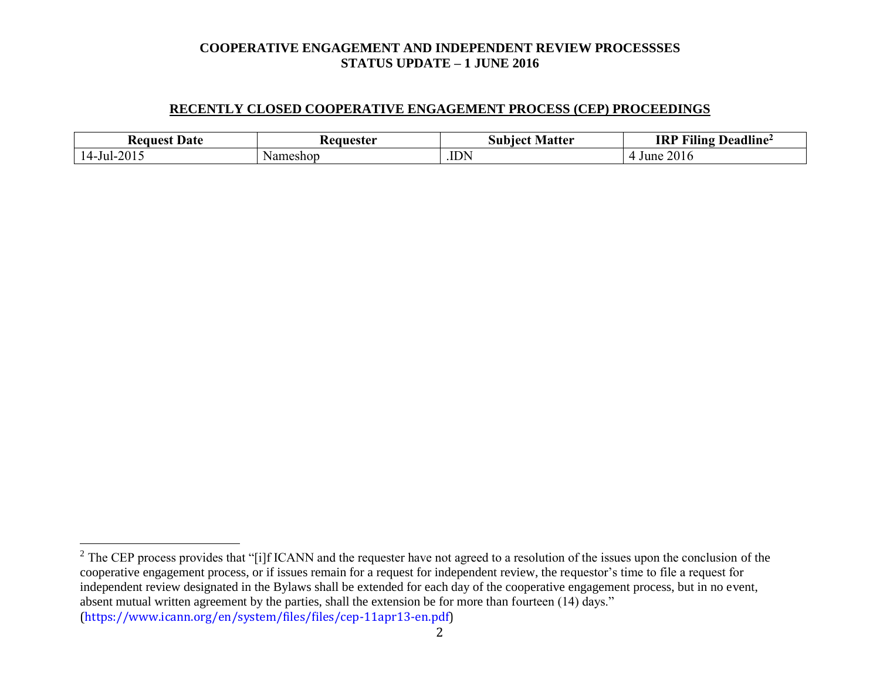#### **RECENTLY CLOSED COOPERATIVE ENGAGEMENT PROCESS (CEP) PROCEEDINGS**

| Date<br>Request    | aanastar /<br>55 L.U. | . Matter<br>10et<br>Sur<br>uw | $\mathbf{u}$<br>$\blacksquare$<br><b>IRI</b><br>Deadline <del>′</del><br>-iling |
|--------------------|-----------------------|-------------------------------|---------------------------------------------------------------------------------|
| 2015<br>.<br>∍ul−′ | neshop<br>Na          | .IDN                          | 201c<br>June                                                                    |

 $\overline{a}$ 

2

 $2^2$  The CEP process provides that "[i]f ICANN and the requester have not agreed to a resolution of the issues upon the conclusion of the cooperative engagement process, or if issues remain for a request for independent review, the requestor's time to file a request for independent review designated in the Bylaws shall be extended for each day of the cooperative engagement process, but in no event, absent mutual written agreement by the parties, shall the extension be for more than fourteen (14) days." (https://www.icann.org/en/system/files/files/cep-11apr13-en.pdf)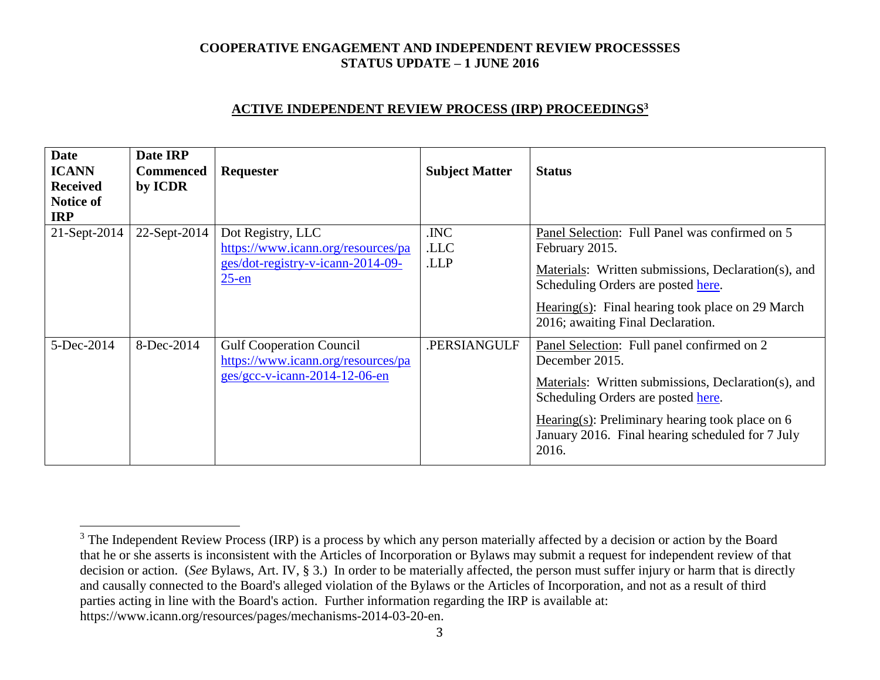### **ACTIVE INDEPENDENT REVIEW PROCESS (IRP) PROCEEDINGS<sup>3</sup>**

| <b>Date</b><br><b>ICANN</b><br><b>Received</b><br><b>Notice of</b><br><b>IRP</b> | Date IRP<br><b>Commenced</b><br>by ICDR | Requester                                                                                                | <b>Subject Matter</b> | <b>Status</b>                                                                                                                                                                                                                                                               |
|----------------------------------------------------------------------------------|-----------------------------------------|----------------------------------------------------------------------------------------------------------|-----------------------|-----------------------------------------------------------------------------------------------------------------------------------------------------------------------------------------------------------------------------------------------------------------------------|
| $21$ -Sept-2014                                                                  | 22-Sept-2014                            | Dot Registry, LLC<br>https://www.icann.org/resources/pa<br>ges/dot-registry-v-icann-2014-09-<br>$25$ -en | .INC<br>.LLC<br>.LLP  | Panel Selection: Full Panel was confirmed on 5<br>February 2015.<br>Materials: Written submissions, Declaration(s), and<br>Scheduling Orders are posted here.<br>Hearing(s): Final hearing took place on 29 March<br>2016; awaiting Final Declaration.                      |
| 5-Dec-2014                                                                       | 8-Dec-2014                              | <b>Gulf Cooperation Council</b><br>https://www.icann.org/resources/pa<br>$ges/gcc-v-icann-2014-12-06-en$ | .PERSIANGULF          | Panel Selection: Full panel confirmed on 2<br>December 2015.<br>Materials: Written submissions, Declaration(s), and<br>Scheduling Orders are posted here.<br>Hearing(s): Preliminary hearing took place on $6$<br>January 2016. Final hearing scheduled for 7 July<br>2016. |

 $\overline{a}$ 

<sup>&</sup>lt;sup>3</sup> The Independent Review Process (IRP) is a process by which any person materially affected by a decision or action by the Board that he or she asserts is inconsistent with the Articles of Incorporation or Bylaws may submit a request for independent review of that decision or action. (*See* Bylaws, Art. IV, § 3.) In order to be materially affected, the person must suffer injury or harm that is directly and causally connected to the Board's alleged violation of the Bylaws or the Articles of Incorporation, and not as a result of third parties acting in line with the Board's action. Further information regarding the IRP is available at: https://www.icann.org/resources/pages/mechanisms-2014-03-20-en.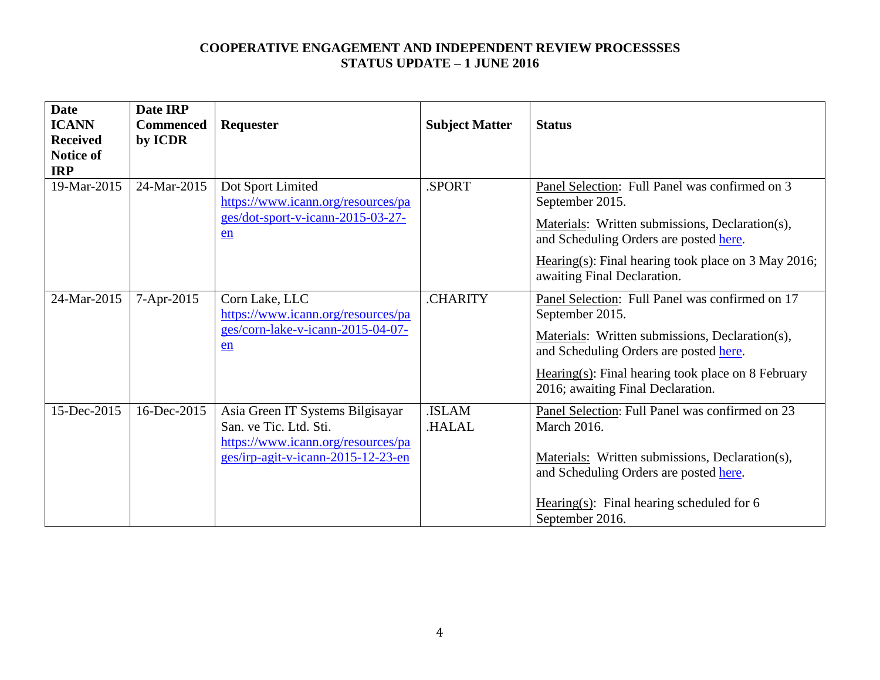| <b>Date</b><br><b>ICANN</b><br><b>Received</b><br>Notice of<br><b>IRP</b> | Date IRP<br><b>Commenced</b><br>by ICDR | Requester                                                                                                                              | <b>Subject Matter</b>  | <b>Status</b>                                                                                                                                                                                                                                                 |
|---------------------------------------------------------------------------|-----------------------------------------|----------------------------------------------------------------------------------------------------------------------------------------|------------------------|---------------------------------------------------------------------------------------------------------------------------------------------------------------------------------------------------------------------------------------------------------------|
| 19-Mar-2015                                                               | 24-Mar-2015                             | Dot Sport Limited<br>https://www.icann.org/resources/pa<br>ges/dot-sport-v-icann-2015-03-27-<br>en                                     | .SPORT                 | Panel Selection: Full Panel was confirmed on 3<br>September 2015.<br>Materials: Written submissions, Declaration(s),<br>and Scheduling Orders are posted here.<br>Hearing(s): Final hearing took place on 3 May 2016;<br>awaiting Final Declaration.          |
| 24-Mar-2015                                                               | 7-Apr-2015                              | Corn Lake, LLC<br>https://www.icann.org/resources/pa<br>ges/corn-lake-v-icann-2015-04-07-<br>en                                        | <b>CHARITY</b>         | Panel Selection: Full Panel was confirmed on 17<br>September 2015.<br>Materials: Written submissions, Declaration(s),<br>and Scheduling Orders are posted here.<br>$Hearing(s)$ : Final hearing took place on 8 February<br>2016; awaiting Final Declaration. |
| 15-Dec-2015                                                               | 16-Dec-2015                             | Asia Green IT Systems Bilgisayar<br>San. ve Tic. Ltd. Sti.<br>https://www.icann.org/resources/pa<br>ges/irp-agit-v-icann-2015-12-23-en | .ISLAM<br><b>HALAL</b> | Panel Selection: Full Panel was confirmed on 23<br>March 2016.<br>Materials: Written submissions, Declaration(s),<br>and Scheduling Orders are posted here.<br>Hearing(s): Final hearing scheduled for $6$<br>September 2016.                                 |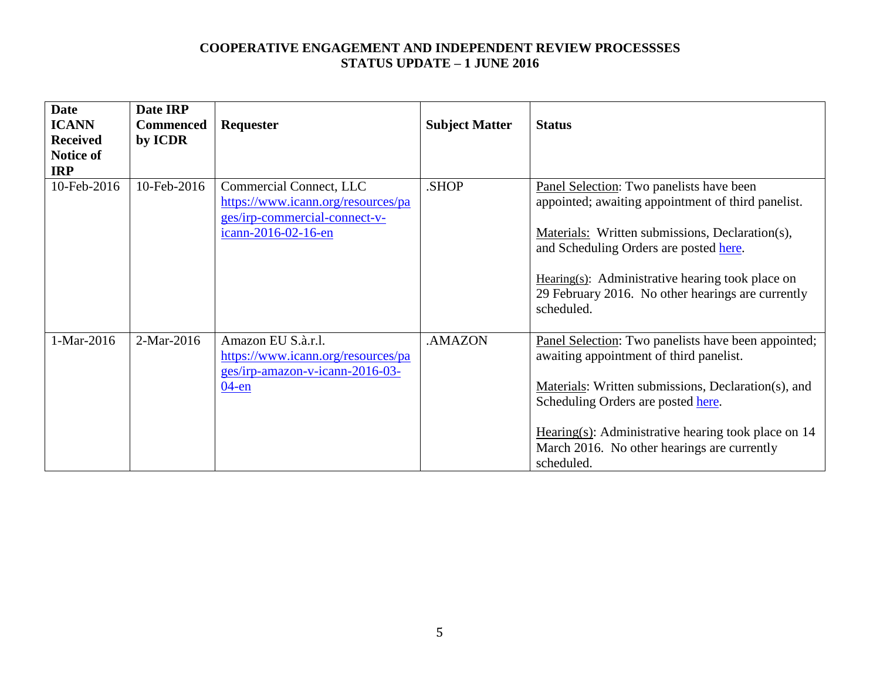| <b>Date</b>     | Date IRP         |                                    |                       |                                                       |
|-----------------|------------------|------------------------------------|-----------------------|-------------------------------------------------------|
| <b>ICANN</b>    | <b>Commenced</b> | <b>Requester</b>                   | <b>Subject Matter</b> | <b>Status</b>                                         |
| <b>Received</b> | by ICDR          |                                    |                       |                                                       |
| Notice of       |                  |                                    |                       |                                                       |
| <b>IRP</b>      |                  |                                    |                       |                                                       |
| 10-Feb-2016     | 10-Feb-2016      | Commercial Connect, LLC            | SHOP.                 | Panel Selection: Two panelists have been              |
|                 |                  | https://www.icann.org/resources/pa |                       | appointed; awaiting appointment of third panelist.    |
|                 |                  | ges/irp-commercial-connect-v-      |                       |                                                       |
|                 |                  | icann-2016-02-16-en                |                       | Materials: Written submissions, Declaration(s),       |
|                 |                  |                                    |                       | and Scheduling Orders are posted here.                |
|                 |                  |                                    |                       |                                                       |
|                 |                  |                                    |                       | Hearing(s): Administrative hearing took place on      |
|                 |                  |                                    |                       | 29 February 2016. No other hearings are currently     |
|                 |                  |                                    |                       | scheduled.                                            |
|                 |                  |                                    |                       |                                                       |
| 1-Mar-2016      | 2-Mar-2016       | Amazon EU S.à.r.l.                 | .AMAZON               | Panel Selection: Two panelists have been appointed;   |
|                 |                  | https://www.icann.org/resources/pa |                       | awaiting appointment of third panelist.               |
|                 |                  | ges/irp-amazon-v-icann-2016-03-    |                       |                                                       |
|                 |                  | $04$ -en                           |                       | Materials: Written submissions, Declaration(s), and   |
|                 |                  |                                    |                       | Scheduling Orders are posted here.                    |
|                 |                  |                                    |                       |                                                       |
|                 |                  |                                    |                       | Hearing(s): Administrative hearing took place on $14$ |
|                 |                  |                                    |                       | March 2016. No other hearings are currently           |
|                 |                  |                                    |                       | scheduled.                                            |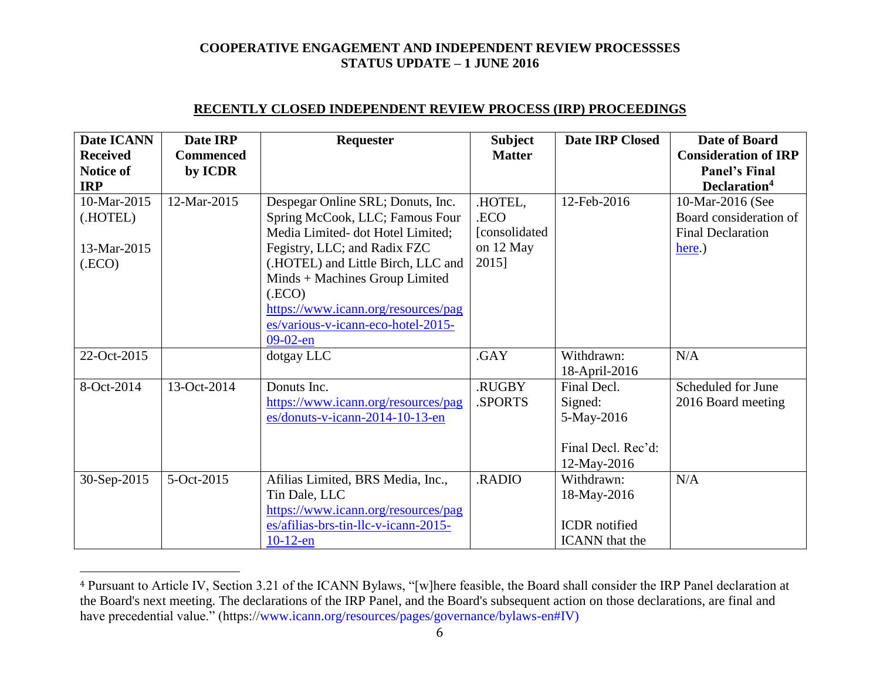| <b>Date ICANN</b><br><b>Received</b><br><b>Notice of</b><br><b>IRP</b> | Date IRP<br><b>Commenced</b><br>by ICDR | Requester                                                                                                                                                              | <b>Subject</b><br><b>Matter</b>                | <b>Date IRP Closed</b>                                                     | Date of Board<br><b>Consideration of IRP</b><br><b>Panel's Final</b><br>Declaration <sup>4</sup> |
|------------------------------------------------------------------------|-----------------------------------------|------------------------------------------------------------------------------------------------------------------------------------------------------------------------|------------------------------------------------|----------------------------------------------------------------------------|--------------------------------------------------------------------------------------------------|
| 10-Mar-2015<br>(.HOTEL)<br>13-Mar-2015                                 | 12-Mar-2015                             | Despegar Online SRL; Donuts, Inc.<br>Spring McCook, LLC; Famous Four<br>Media Limited- dot Hotel Limited;<br>Fegistry, LLC; and Radix FZC                              | .HOTEL,<br>.ECO<br>[consolidated]<br>on 12 May | 12-Feb-2016                                                                | 10-Mar-2016 (See<br>Board consideration of<br><b>Final Declaration</b><br>here.)                 |
| (ECO)                                                                  |                                         | (.HOTEL) and Little Birch, LLC and<br>Minds + Machines Group Limited<br>(ECO)<br>https://www.icann.org/resources/pag<br>es/various-v-icann-eco-hotel-2015-<br>09-02-en | 2015]                                          |                                                                            |                                                                                                  |
| 22-Oct-2015                                                            |                                         | dotgay LLC                                                                                                                                                             | .GAY                                           | Withdrawn:<br>18-April-2016                                                | N/A                                                                                              |
| 8-Oct-2014                                                             | 13-Oct-2014                             | Donuts Inc.<br>https://www.icann.org/resources/pag<br>$es/donuts-v-icann-2014-10-13-en$                                                                                | .RUGBY<br>.SPORTS                              | Final Decl.<br>Signed:<br>5-May-2016<br>Final Decl. Rec'd:<br>12-May-2016  | Scheduled for June<br>2016 Board meeting                                                         |
| 30-Sep-2015                                                            | 5-Oct-2015                              | Afilias Limited, BRS Media, Inc.,<br>Tin Dale, LLC<br>https://www.icann.org/resources/pag<br>es/afilias-brs-tin-llc-v-icann-2015-<br>$10-12$ -en                       | .RADIO                                         | Withdrawn:<br>18-May-2016<br><b>ICDR</b> notified<br><b>ICANN</b> that the | N/A                                                                                              |

## **RECENTLY CLOSED INDEPENDENT REVIEW PROCESS (IRP) PROCEEDINGS**

 $\overline{a}$ 

<sup>4</sup> Pursuant to Article IV, Section 3.21 of the ICANN Bylaws, "[w]here feasible, the Board shall consider the IRP Panel declaration at the Board's next meeting. The declarations of the IRP Panel, and the Board's subsequent action on those declarations, are final and have precedential value." (https://www.icann.org/resources/pages/governance/bylaws-en#IV)